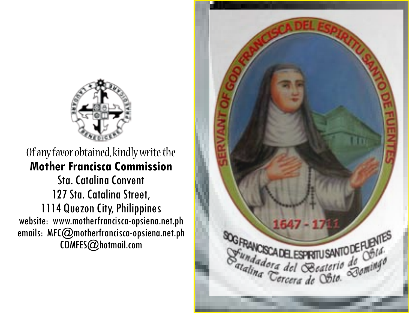

Of any favor obtained, kindly write the **Mother Francisca Commission** Sta. Catalina Convent 127 Sta. Catalina Street, 1114 Quezon City, Philippines website: www.motherfrancisca-opsiena.net.ph emails: MFC@motherfrancisca-opsiena.net.ph COMFES@hotmail.com

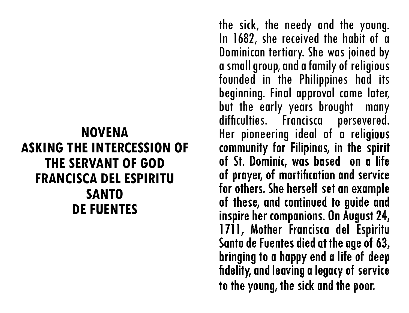### **NOVENA ASKING THE INTERCESSION OF THE SERVANT OF GOD FRANCISCA DEL ESPIRITU SANTO DE FUENTES**

the sick, the needy and the young. In 1682, she received the habit of a Dominican tertiary. She was joined by a small group, and a family of religious founded in the Philippines had its beginning. Final approval came later, but the early years brought many difficulties. Francisca persevered. Her pioneering ideal of a religious community for Filipinas, in the spirit of St. Dominic, was based on a life of prayer, of mortification and service for others. She herself set an example of these, and continued to guide and inspire her companions. On August 24, 1711, Mother Francisca del Espiritu Santo de Fuentes died at the age of 63, bringing to a happy end a life of deep fidelity, and leaving a legacy of service to the young, the sick and the poor.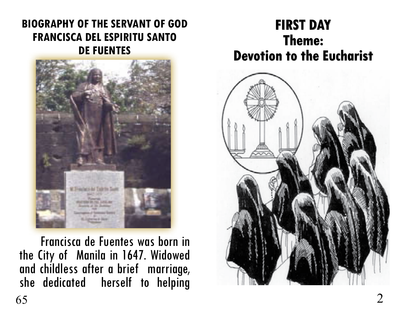#### **BIOGRAPHY OF THE SERVANT OF GOD FRANCISCA DEL ESPIRITU SANTO DE FUENTES**



 Francisca de Fuentes was born in the City of Manila in 1647. Widowed and childless after a brief marriage, she dedicated herself to helping

### **FIRST DAY Theme: Devotion to the Eucharist**

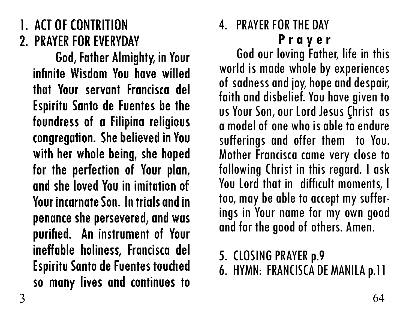# 1. ACT OF CONTRITION 2. PRAYER FOR EVERYDAY

God, Father Almighty, in Your infinite Wisdom You have willed that Your servant Francisca del Espiritu Santo de Fuentes be the foundress of a Filipina religious congregation. She believed in You with her whole being, she hoped for the perfection of Your plan, and she loved You in imitation of Your incarnate Son. In trials and in penance she persevered, and was purified. An instrument of Your ineffable holiness, Francisca del Espiritu Santo de Fuentes touched so many lives and continues to

#### 4. PRAYER FOR THE DAY **P r a y e r**

 God our loving Father, life in this world is made whole by experiences of sadness and joy, hope and despair, faith and disbelief. You have given to us Your Son, our Lord Jesus Çhrist as a model of one who is able to endure sufferings and offer them to You. Mother Francisca came very close to following Christ in this regard. I ask You Lord that in difficult moments, I<br>too, may be able to accept my sufferings in Your name for my own good and for the good of others. Amen.

- 5. CLOSING PRAYER p.9
- 6. HYMN: FRANCISCA DE MANILA p.11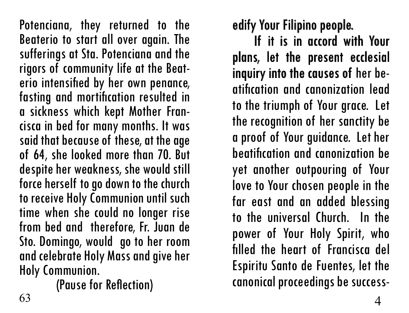Potenciana, they returned to the Beaterio to start all over again. The sufferings at Sta. Potenciana and the rigors of community life at the Beat- erio intensified by her own penance, fasting and mortification resulted in a sickness which kept Mother Fran- cisca in bed for many months. It was said that because of these, at the age of 64, she looked more than 70. But despite her weakness, she would still force herself to go down to the church to receive Holy Communion until such time when she could no longer rise from bed and therefore, Fr. Juan de Sto. Domingo, would go to her room and celebrate Holy Mass and give her Holy Communion.

(Pause for Reflection)

edify Your Filipino people.

If it is in accord with Your plans, let the present ecclesial inquiry into the causes of her beatification and canonization lead to the triumph of Your grace. Let the recognition of her sanctity be a proof of Your guidance. Let her beatification and canonization be yet another outpouring of Your love to Your chosen people in the far east and an added blessing to the universal Church. In the power of Your Holy Spirit, who filled the heart of Francisca del Espiritu Santo de Fuentes, let the canonical proceedings be success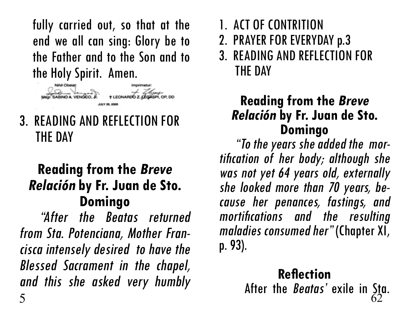fully carried out, so that at the end we all can sing: Glory be to the Father and to the Son and to the Holy Spirit. Amen.



3. READING AND REFLECTION FOR THE DAY

### **Reading from the Breve Relación by Fr. Juan de Sto. Domingo**

"After the Beatas returned from Sta. Potenciana, Mother Fran cisca intensely desired to have the Blessed Sacrament in the chapel, and this she asked very humbly

- 1. ACT OF CONTRITION
- 2. PRAYER FOR EVERYDAY p.3
- 3. READING AND REFLECTION FOR THE DAY

# **Reading from the Breve Relación by Fr. Juan de Sto.**

**Domingo** "To the years she added the mor tification of her body; although she was not yet 64 years old, externally she looked more than 70 years, be cause her penances, fastings, and mortifications and the resulting maladies consumed her" (Chapter XI, p. 93).

#### **Reflection** After the *Beatas'* exile in Sta.  $\frac{1}{62}$  62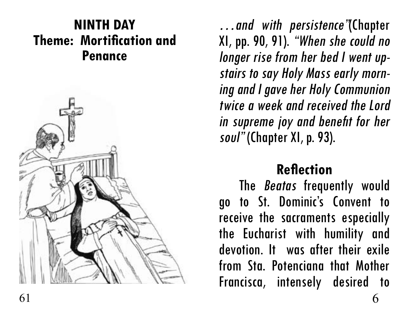### **NINTH DAY Theme: Mortification and Penance**



…and with persistence"(Chapter XI, pp. 90, 91). "When she could no longer rise from her bed I went up stairs to say Holy Mass early morn ing and I gave her Holy Communion twice a week and received the Lord in supreme joy and benefit for her soul" (Chapter XI, p. 93).

### **Reflection**

The **Beatas** frequently would go to St. Dominic's Convent to receive the sacraments especially the Eucharist with humility and devotion. It was after their exile from Sta. Potenciana that Mother Francisca, intensely desired to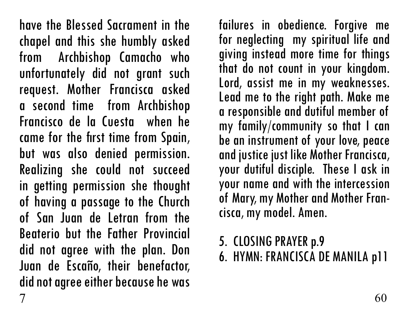have the Blessed Sacrament in the chapel and this she humbly asked from Archbishop Camacho who unfortunately did not grant such request. Mother Francisca asked a second time from Archbishop Francisco de la Cuesta when he came for the first time from Spain, but was also denied permission. Realizing she could not succeed in getting permission she thought of having a passage to the Church of San Juan de Letran from the Beaterio but the Father Provincial did not agree with the plan. Don Juan de Escaño, their benefactor, did not agree either because he was failures in obedience. Forgive me for neglecting my spiritual life and giving instead more time for things that do not count in your kingdom. Lord, assist me in my weaknesses. Lead me to the right path. Make me a responsible and dutiful member of my family/community so that I can be an instrument of your love, peace and justice just like Mother Francisca, your dutiful disciple. These I ask in your name and with the intercession of Mary, my Mother and Mother Fran- cisca, my model. Amen.

- 5. CLOSING PRAYER p.9
- 6. HYMN: FRANCISCA DE MANILA p11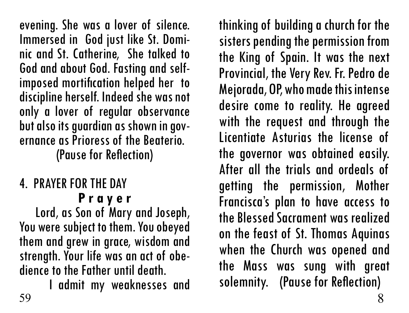evening. She was a lover of silence. Immersed in God just like St. Domi- nic and St. Catherine, She talked to God and about God. Fasting and selfimposed mortification helped her to discipline herself. Indeed she was not only a lover of regular observance but also its guardian as shown in gov- ernance as Prioress of the Beaterio. (Pause for Reflection)

### 4. PRAYER FOR THE DAY **P r a y e r**

 Lord, as Son of Mary and Joseph, You were subject to them. You obeyed them and grew in grace, wisdom and strength. Your life was an act of obe- dience to the Father until death.

I admit my weaknesses and<br>59  $59$  8

thinking of building a church for the sisters pending the permission from the King of Spain. It was the next Provincial, the Very Rev. Fr. Pedro de Mejorada, OP, who made this intense desire come to reality. He agreed with the request and through the Licentiate Asturias the license of the governor was obtained easily. After all the trials and ordeals of getting the permission, Mother Francisca's plan to have access to the Blessed Sacrament was realized on the feast of St. Thomas Aquinas when the Church was opened and the Mass was sung with great solemnity. (Pause for Reflection)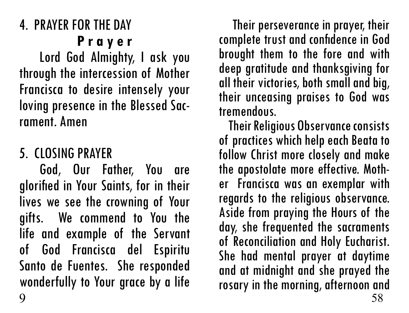Lord God Almighty, I ask you through the intercession of Mother Francisca to desire intensely your loving presence in the Blessed Sac- rament. Amen

### 5. CLOSING PRAYER

God, Our Father, You are glorified in Your Saints, for in their lives we see the crowning of Your gifts. We commend to You the life and example of the Servant of God Francisca del Espiritu Santo de Fuentes. She responded wonderfully to Your grace by a life 9 58

 Their perseverance in prayer, their complete trust and confidence in God brought them to the fore and with deep gratitude and thanksgiving for all their victories, both small and big, their unceasing praises to God was tremendous.

 Their Religious Observance consists of practices which help each Beata to follow Christ more closely and make the apostolate more effective. Moth- er Francisca was an exemplar with regards to the religious observance. Aside from praying the Hours of the day, she frequented the sacraments of Reconciliation and Holy Eucharist. She had mental prayer at daytime and at midnight and she prayed the rosary in the morning, afternoon and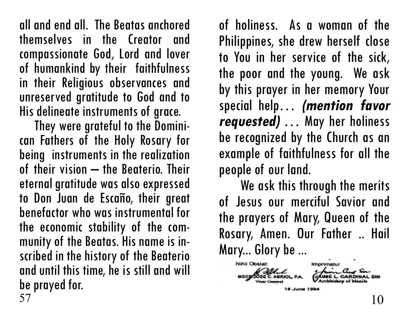all and end all. The Beatas anchored themselves in the Creator and compassionate God, Lord and lover of humankind by their faithfulness in their Religious observances and unreserved gratitude to God and to His delineate instruments of grace.

can Fathers of the Holy Rosary for being instruments in the realization of their vision – the Beaterio. Their eternal gratitude was also expressed to Don Juan de Escaño, their great benefactor who was instrumental for the economic stability of the com- munity of the Beatas. His name is in- scribed in the history of the Beaterio and until this time, he is still and will be prayed for.<br> $57$ 57 10

of holiness. As a woman of the Philippines, she drew herself close to You in her service of the sick, the poor and the young. We ask by this prayer in her memory Your special help… **(mention favor requested)** … May her holiness be recognized by the Church as an example of faithfulness for all the people of our land.

We ask this through the merits of Jesus our merciful Savior and the prayers of Mary, Queen of the Rosary, Amen. Our Father .. Hail Mary... Glory be ...

Nihil Obstat: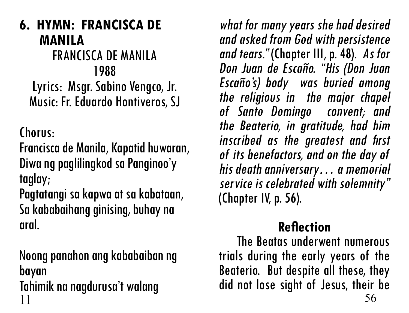**6. HYMN: FRANCISCA DE MANILA** FRANCISCA DE MANILA 1988 Lyrics: Msgr. Sabino Vengco, Jr. Music: Fr. Eduardo Hontiveros, SJ

Chorus:

Francisca de Manila, Kapatid huwaran, Diwa ng paglilingkod sa Panginoo'y taglay;

Pagtatangi sa kapwa at sa kabataan, Sa kababaihang ginising, buhay na aral.

Noong panahon ang kababaiban ng bayan Tahimik na nagdurusa't walang  $11 \t\t 56$ 

what for many years she had desired and asked from God with persistence and tears." (Chapter III, p. 48). As for Don Juan de Escaño. "His (Don Juan Escaño's) body was buried among the religious in the major chapel of Santo Domingo convent; and the Beaterio, in gratitude, had him inscribed as the greatest and first of its benefactors, and on the day of his death anniversary… a memorial service is celebrated with solemnity" (Chapter IV, p. 56).

### **Reflection**

 The Beatas underwent numerous trials during the early years of the Beaterio. But despite all these, they did not lose sight of Jesus, their be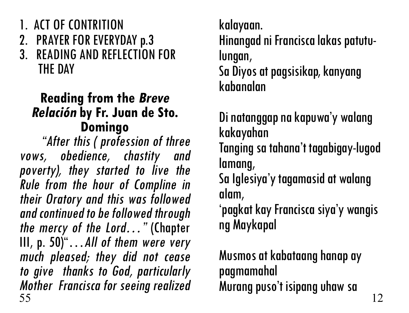- 1. ACT OF CONTRITION
- 2. PRAYER FOR EVERYDAY p.3<br>3 READING AND REFLECTION
- **READING AND REFLECTION FOR** THE DAY

# **Reading from the Breve Relación by Fr. Juan de Sto. Domingo** "After this ( profession of three

vows, obedience, chastity and poverty), they started to live the Rule from the hour of Compline in their Oratory and this was followed and continued to be followed through the mercy of the Lord…" (Chapter III, p.  $50$ <sup>"</sup>...All of them were very much pleased; they did not cease to give thanks to God, particularly Mother Francisca for seeing realized<br>55  $55$  12

kalayaan. Hinangad ni Francisca lakas patutu- lungan, Sa Diyos at pagsisikap, kanyang kabanalan

Di natanggap na kapuwa'y walang kakayahan Tanging sa tahana't tagabigay-lugod lamang,

Sa Iglesiya'y tagamasid at walang alam,

'pagkat kay Francisca siya'y wangis ng Maykapal

Musmos at kabataang hanap ay pagmamahal Murang puso't isipang uhaw sa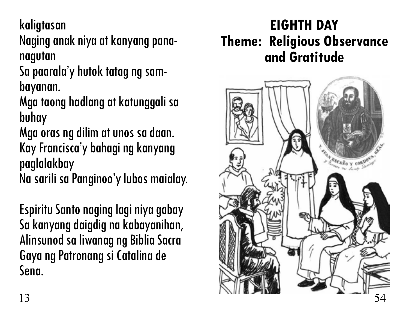kaligtasan

Naging anak niya at kanyang pana- nagutan

Sa paarala'y hutok tatag ng sam- bayanan.

Mga taong hadlang at katunggali sa buhay

Mga oras ng dilim at unos sa daan. Kay Francisca'y bahagi ng kanyang paglalakbay

Na sarili sa Panginoo'y lubos maialay.

Espiritu Santo naging lagi niya gabay Sa kanyang daigdig na kabayanihan, Alinsunod sa liwanag ng Biblia Sacra Gaya ng Patronang si Catalina de Sena.

## **EIGHTH DAY Theme: Religious Observance and Gratitude**

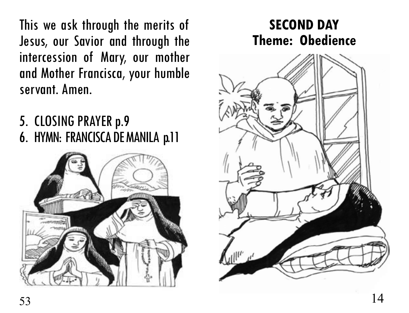This we ask through the merits of Jesus, our Savior and through the intercession of Mary, our mother and Mother Francisca, your humble servant. Amen.

- 5. CLOSING PRAYER p.9
- 6. HYMN: FRANCISCA DE MANILA p.11



# $53$  14

### **SECOND DAY Theme: Obedience**

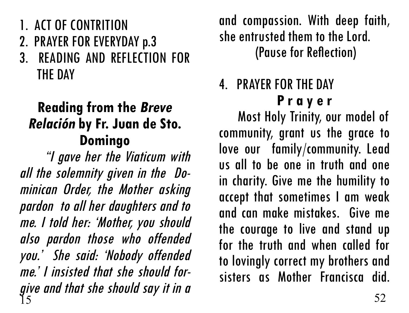- 1. ACT OF CONTRITION
- 2. PRAYER FOR EVERYDAY p.3
- 3. READING AND REFLECTION FOR THE DAY

## **Reading from the Breve Relación by Fr. Juan de Sto. Domingo**

 "I gave her the Viaticum with all the solemnity given in the Do minican Order, the Mother asking pardon to all her daughters and to me. I told her: 'Mother, you should also pardon those who offended you.' She said: 'Nobody offended me.' I insisted that she should forgive and that she should say it in a  $\frac{15}{15}$  52

and compassion. With deep faith, she entrusted them to the Lord. (Pause for Reflection)

# 4. PRAYER FOR THE DAY **P r a y e r**

 Most Holy Trinity, our model of community, grant us the grace to love our family/community. Lead us all to be one in truth and one in charity. Give me the humility to accept that sometimes I am weak and can make mistakes. Give me the courage to live and stand up for the truth and when called for to lovingly correct my brothers and sisters as Mother Francisca did.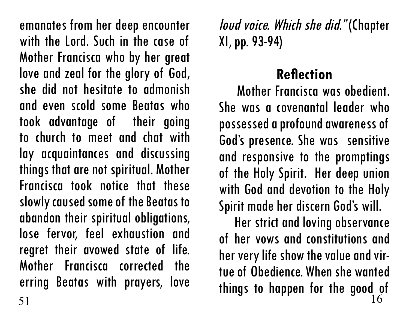emanates from her deep encounter with the Lord. Such in the case of Mother Francisca who by her great love and zeal for the glory of God, she did not hesitate to admonish and even scold some Beatas who took advantage of their going to church to meet and chat with lay acquaintances and discussing things that are not spiritual. Mother Francisca took notice that these slowly caused some of the Beatas to abandon their spiritual obligations, lose fervor, feel exhaustion and regret their avowed state of life. Mother Francisca corrected the erring Beatas with prayers, love loud voice. Which she did." (Chapter XI, pp. 93-94)

### **Reflection**

 Mother Francisca was obedient. She was a covenantal leader who possessed a profound awareness of God's presence. She was sensitive and responsive to the promptings of the Holy Spirit. Her deep union with God and devotion to the Holy Spirit made her discern God's will.

 Her strict and loving observance of her vows and constitutions and her very life show the value and virtue of Obedience. When she wanted things to happen for the good of  $51$  16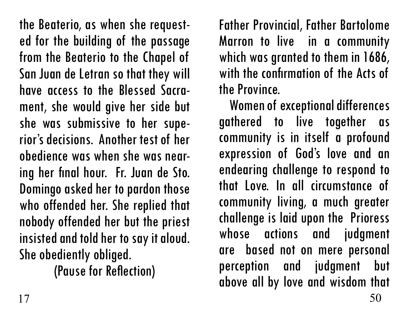the Beaterio, as when she requested for the building of the passage from the Beaterio to the Chapel of San Juan de Letran so that they will have access to the Blessed Sacrament, she would give her side but she was submissive to her superior's decisions. Another test of her obedience was when she was near- ing her final hour. Fr. Juan de Sto. Domingo asked her to pardon those who offended her. She replied that nobody offended her but the priest insisted and told her to say it aloud. She obediently obliged.

(Pause for Reflection)

Father Provincial, Father Bartolome Marron to live in a community which was granted to them in 1686, with the confirmation of the Acts of the Province.

 Women of exceptional differences gathered to live together as community is in itself a profound expression of God's love and an endearing challenge to respond to that Love. In all circumstance of community living, a much greater challenge is laid upon the Prioress whose actions and judgment are based not on mere personal perception and judgment but above all by love and wisdom that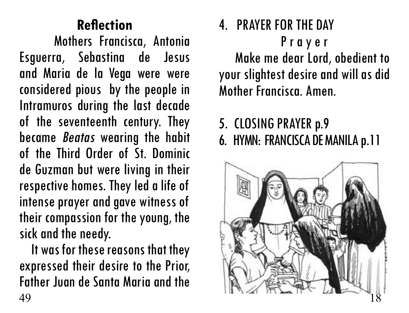## **Reflection**

 Mothers Francisca, Antonia Esguerra, Sebastina de Jesus and Maria de la Vega were were considered pious by the people in Intramuros during the last decade of the seventeenth century. They became Beatas wearing the habit of the Third Order of St. Dominic de Guzman but were living in their respective homes. They led a life of intense prayer and gave witness of their compassion for the young, the sick and the needy.

 It was for these reasons that they expressed their desire to the Prior, Father Juan de Santa Maria and the

4. PRAYER FOR THE DAY P r a y e r Make me dear Lord, obedient to your slightest desire and will as did Mother Francisca. Amen.

# 5. CLOSING PRAYER p.9 6. HYMN: FRANCISCA DE MANILA p.11

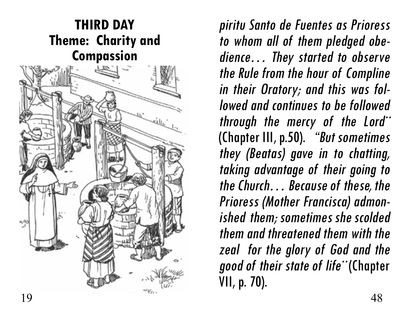

piritu Santo de Fuentes as Prioress to whom all of them pledged obe dience… They started to observe the Rule from the hour of Compline in their Oratory; and this was fol lowed and continues to be followed through the mercy of the Lord¨ (Chapter III, p.50). "But sometimes they (Beatas) gave in to chatting, taking advantage of their going to the Church… Because of these, the Prioress (Mother Francisca) admon ished them; sometimes she scolded them and threatened them with the zeal for the glory of God and the good of their state of life¨ (Chapter VII, p. 70).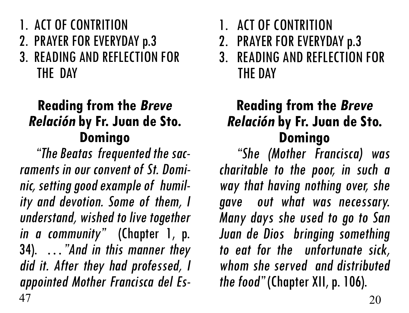- 1. ACT OF CONTRITION
- 2. PRAYER FOR EVERYDAY p.3
- 3. READING AND REFLECTION FOR THE DAY

# **Reading from the Breve Relación by Fr. Juan de Sto. Domingo** "The Beatas frequented the sac-

raments in our convent of St. Domi nic, setting good example of humil ity and devotion. Some of them, I understand, wished to live together in a community" (Chapter 1, p. 34). …"And in this manner they did it. After they had professed, I appointed Mother Francisca del Es-  $47$  20

- 1. ACT OF CONTRITION
- 2. PRAYER FOR EVERYDAY p.3
- 3. READING AND REFLECTION FOR THE DAY

# **Reading from the Breve Relación by Fr. Juan de Sto. Domingo** "She (Mother Francisca) was

charitable to the poor, in such a way that having nothing over, she gave out what was necessary. Many days she used to go to San Juan de Dios bringing something to eat for the unfortunate sick, whom she served and distributed the food" (Chapter XII, p. 106).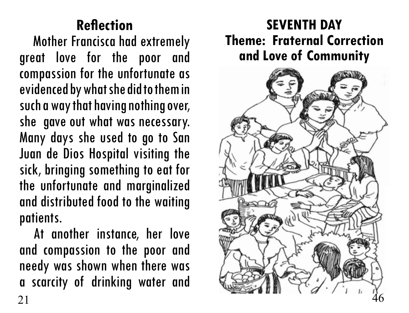## **Reflection**

 Mother Francisca had extremely great love for the poor and compassion for the unfortunate as evidenced by what she did to them in such a way that having nothing over, she gave out what was necessary. Many days she used to go to San Juan de Dios Hospital visiting the sick, bringing something to eat for the unfortunate and marginalized and distributed food to the waiting patients.

 At another instance, her love and compassion to the poor and needy was shown when there was a scarcity of drinking water and

### **SEVENTH DAY Theme: Fraternal Correction and Love of Community**

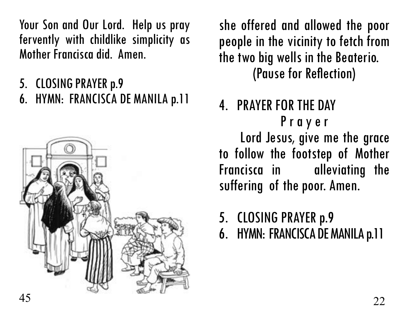Your Son and Our Lord. Help us pray fervently with childlike simplicity as Mother Francisca did. Amen.

- 5. CLOSING PRAYER p.9
- 6. HYMN: FRANCISCA DE MANILA p.11



she offered and allowed the poor people in the vicinity to fetch from the two big wells in the Beaterio. (Pause for Reflection)

### 4. PRAYER FOR THE DAY P r a y e r Lord Jesus, give me the grace to follow the footstep of Mother Francisca in alleviating the suffering of the poor. Amen.

# 5. CLOSING PRAYER p.9

6. HYMN: FRANCISCA DE MANILA p.11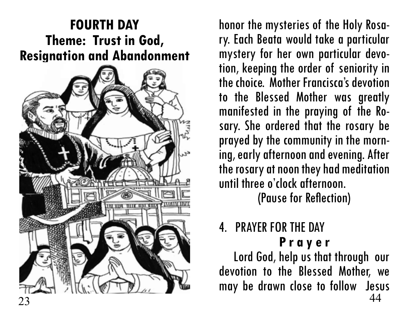### **FOURTH DAY Theme: Trust in God, Resignation and Abandonment**



honor the mysteries of the Holy Rosa- ry. Each Beata would take a particular mystery for her own particular devo- tion, keeping the order of seniority in the choice. Mother Francisca's devotion to the Blessed Mother was greatly manifested in the praying of the Ro- sary. She ordered that the rosary be prayed by the community in the morn- ing, early afternoon and evening. After the rosary at noon they had meditation until three o'clock afternoon.

(Pause for Reflection)

# 4. PRAYER FOR THE DAY

**P r a y e r** Lord God, help us that through our devotion to the Blessed Mother, we may be drawn close to follow Jesus  $23$  44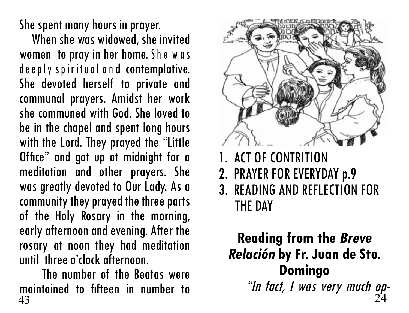She spent many hours in prayer.

 When she was widowed, she invited women to pray in her home. She was de e ply spiritual and contemplative. She devoted herself to private and communal prayers. Amidst her work she communed with God. She loved to be in the chapel and spent long hours with the Lord. They prayed the "Little Office" and got up at midnight for a meditation and other prayers. She was greatly devoted to Our Lady. As a community they prayed the three parts of the Holy Rosary in the morning, early afternoon and evening. After the rosary at noon they had meditation until three o'clock afternoon.

 The number of the Beatas were maintained to fifteen in number to  $43$  $43$  24



- 1. ACT OF CONTRITION
- 2. PRAYER FOR EVERYDAY p.9
- 3. READING AND REFLECTION FOR THE DAY

# **Reading from the Breve Relación by Fr. Juan de Sto. Domingo** "In fact, I was very much op-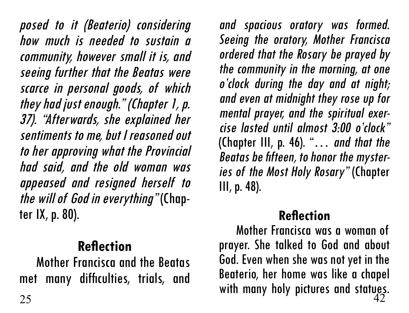posed to it (Beaterio) considering how much is needed to sustain a community, however small it is, and seeing further that the Beatas were scarce in personal goods, of which they had just enough." (Chapter 1, p. 37). "Afterwards, she explained her sentiments to me, but I reasoned out to her approving what the Provincial had said, and the old woman was appeased and resigned herself to *the will of God in everything"* (Chap-<br>ter IX, p. 80).

### **Reflection**

 Mother Francisca and the Beatas met many difficulties, trials, and

and spacious oratory was formed. Seeing the oratory, Mother Francisca ordered that the Rosary be prayed by the community in the morning, at one <sup>o</sup>'clock during the day and at night; and even at midnight they rose up for mental prayer, and the spiritual exer cise lasted until almost 3:00 o'clock" (Chapter III, p. 46). "… and that the Beatas be fifteen, to honor the myster ies of the Most Holy Rosary" (Chapter III, p. 48).

### **Reflection**

 Mother Francisca was a woman of prayer. She talked to God and about God. Even when she was not yet in the Beaterio, her home was like a chapel  $\frac{1}{25}$  many dimensions, then, diven with many holy pictures and statues.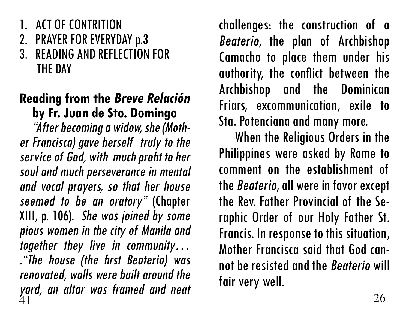- 1. ACT OF CONTRITION
- 2. PRAYER FOR EVERYDAY p.3
- 3. READING AND REFLECTION FOR THE DAY

### **Reading from the Breve Relación by Fr. Juan de Sto. Domingo**

 "After becoming a widow, she (Moth er Francisca) gave herself truly to the service of God, with much profit to her soul and much perseverance in mental and vocal prayers, so that her house seemed to be an oratory" (Chapter XIII, p. 106). She was joined by some pious women in the city of Manila and together they live in community… ."The house (the first Beaterio) was renovated, walls were built around the yard, an altar was framed and neat<br><sup>41</sup>  $41$  26

challenges: the construction of a Beaterio, the plan of Archbishop Camacho to place them under his authority, the conflict between the Archbishop and the Dominican Friars, excommunication, exile to Sta. Potenciana and many more.

 When the Religious Orders in the Philippines were asked by Rome to comment on the establishment of the Beaterio, all were in favor except the Rev. Father Provincial of the Se- raphic Order of our Holy Father St. Francis. In response to this situation, Mother Francisca said that God cannot be resisted and the Beaterio will fair very well.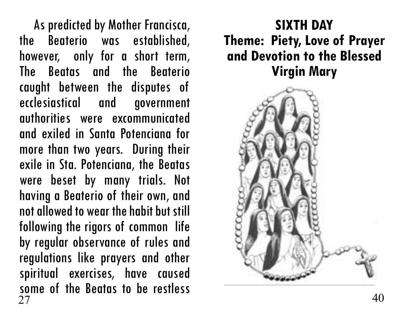As predicted by Mother Francisca, the Beaterio was established, however, only for a short term, The Beatas and the Beaterio caught between the disputes of ecclesiastical and government authorities were excommunicated and exiled in Santa Potenciana for more than two years. During their exile in Sta. Potenciana, the Beatas were beset by many trials. Not having a Beaterio of their own, and not allowed to wear the habit but still following the rigors of common life by regular observance of rules and regulations like prayers and other spiritual exercises, have caused some of the Beatas to be restless 27 40

### **SIXTH DAY Theme: Piety, Love of Prayer and Devotion to the Blessed Virgin Mary**

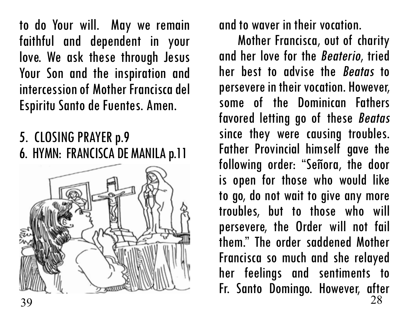to do Your will. May we remain faithful and dependent in your love. We ask these through Jesus Your Son and the inspiration and intercession of Mother Francisca del Espiritu Santo de Fuentes. Amen.

### 5. CLOSING PRAYER p.9 6. HYMN: FRANCISCA DE MANILA p.11



and to waver in their vocation.

 Mother Francisca, out of charity and her love for the Beaterio, tried her best to advise the Beatas to persevere in their vocation. However, some of the Dominican Fathers favored letting go of these Beatas since they were causing troubles. Father Provincial himself gave the following order: "Señora, the door is open for those who would like to go, do not wait to give any more troubles, but to those who will persevere, the Order will not fail them." The order saddened Mother Francisca so much and she relayed her feelings and sentiments to Fr. Santo Domingo. However, after 39 28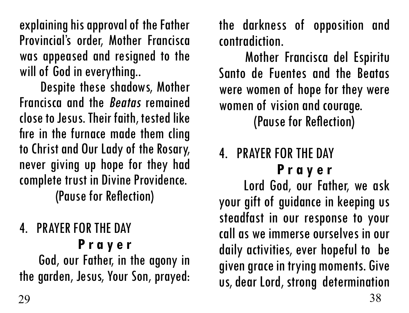explaining his approval of the Father Provincial's order, Mother Francisca was appeased and resigned to the will of God in everything..

 Despite these shadows, Mother Francisca and the Beatas remained close to Jesus. Their faith, tested like fire in the furnace made them cling to Christ and Our Lady of the Rosary, never giving up hope for they had complete trust in Divine Providence. (Pause for Reflection)

### 4. PRAYER FOR THE DAY **P r a y e r**

 God, our Father, in the agony in the garden, Jesus, Your Son, prayed: the darkness of opposition and contradiction.

 Mother Francisca del Espiritu Santo de Fuentes and the Beatas were women of hope for they were women of vision and courage.

(Pause for Reflection)

### 4. PRAYER FOR THE DAY **P r a y e r**

 Lord God, our Father, we ask your gift of guidance in keeping us steadfast in our response to your call as we immerse ourselves in our daily activities, ever hopeful to be given grace in trying moments. Give us, dear Lord, strong determination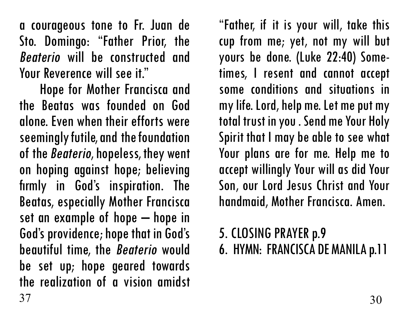a courageous tone to Fr. Juan de Sto. Domingo: "Father Prior, the Beaterio will be constructed and Your Reverence will see it."

 Hope for Mother Francisca and the Beatas was founded on God alone. Even when their efforts were seemingly futile, and the foundation of the Beaterio, hopeless, they went on hoping against hope; believing firmly in God's inspiration. The Beatas, especially Mother Francisca set an example of hope – hope in God's providence; hope that in God's beautiful time, the Beaterio would be set up; hope geared towards the realization of a vision amidst  $37$   $30$ 

"Father, if it is your will, take this cup from me; yet, not my will but yours be done. (Luke 22:40) Sometimes, I resent and cannot accept some conditions and situations in my life. Lord, help me. Let me put my total trust in you . Send me Your Holy Spirit that I may be able to see what Your plans are for me. Help me to accept willingly Your will as did Your Son, our Lord Jesus Christ and Your handmaid, Mother Francisca. Amen.

# 5. CLOSING PRAYER p.9 6. HYMN: FRANCISCA DE MANILA p.11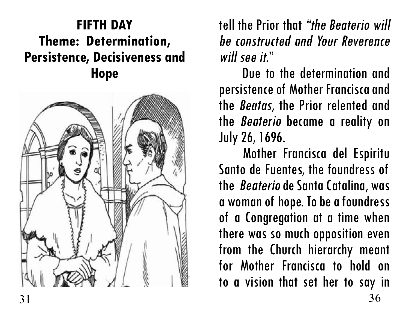### **FIFTH DAY Theme: Determination, Persistence, Decisiveness and Hope**



tell the Prior that "the Beaterio will be constructed and Your Reverence will see it."<br>Due to the determination and

persistence of Mother Francisca and the Beatas, the Prior relented and the Beaterio became a reality on July 26, 1696.

 Mother Francisca del Espiritu Santo de Fuentes, the foundress of the Beaterio de Santa Catalina, was a woman of hope. To be a foundress of a Congregation at a time when there was so much opposition even from the Church hierarchy meant for Mother Francisca to hold on to a vision that set her to say in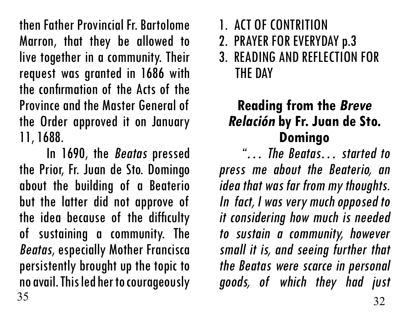then Father Provincial Fr. Bartolome Marron, that they be allowed to live together in a community. Their request was granted in 1686 with the confirmation of the Acts of the Province and the Master General of the Order approved it on January 11, 1688.

 In 1690, the Beatas pressed the Prior, Fr. Juan de Sto. Domingo about the building of a Beaterio but the latter did not approve of the idea because of the difficulty of sustaining a community. The Beatas, especially Mother Francisca persistently brought up the topic to no avail. This led her to courageously  $35 \t 32$ 

- 2. PRAYER FOR EVERYDAY p.3
- 3. READING AND REFLECTION FOR THE DAY

# **Reading from the Breve Relación by Fr. Juan de Sto. Domingo** "… The Beatas… started to

press me about the Beaterio, an idea that was far from my thoughts. In fact, I was very much opposed to it considering how much is needed to sustain a community, however small it is, and seeing further that the Beatas were scarce in personal goods, of which they had just